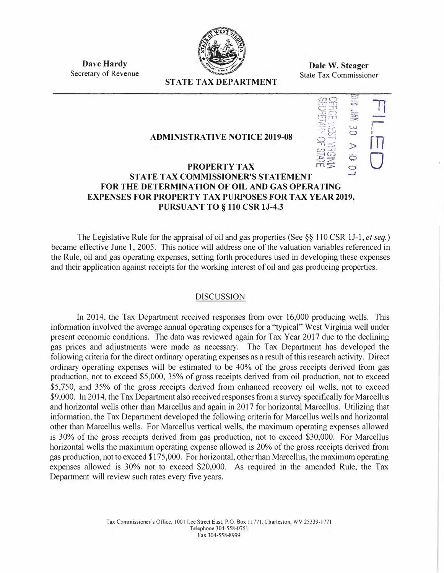

**Dave Hardy**  Secretary of Revenue

**Dale W. Steager**  State Tax Commissioner

 $\frac{1}{2}$ 

17

r I m

0

f...<J  $\circ$  $\triangleright$ 

# **STATE TAX DEPARTMENT**

### **ADMINISTRATIVE NOTICE 2019-08**

#### **PROPERTY TAX ST ATE TAX COMMISSIONER'S STATEMENT**  i:;\_5  $\overline{\phantom{0}}$ --.J **FOR THE DETERMINA TlON OF OIL AND GAS OPERA TING EXPENSES FOR PROPERTY TAX PURPOSES FOR TAX YEAR 2019, PURSUANT TO § 110 CSR lJ-4.3**

The Legislative Rule for the appraisal of oil and gas properties (See §§ 110 CSR IJ-1, *et seq.)*  became effective June 1, 2005. This notice will address one of the valuation variables referenced in the Rule, oil and gas operating expenses, setting forth procedures used in developing these expenses and their application against receipts for the working interest of oil and gas producing properties.

#### DISCUSSION

In 2014, the Tax Department received responses from over 16,000 producing wells. This information involved the average annual operating expenses for a "typical" West Virginia well under present economic conditions. The data was reviewed again for Tax Year 2017 due to the declining gas prices and adjustments were made as necessary. The Tax Department has developed the following criteria for the direct ordinary operating expenses as a result of this research activity. Direct ordinary operating expenses will be estimated to be 40% of the gross receipts derived from gas production, not to exceed \$5,000, 35% of gross receipts derived from oil production, not to exceed \$5,750, and 35% of the gross receipts derived from enhanced recovery oil wells, not to exceed \$9,000. In 2014, the Tax Department also received responses from a survey specifically for Marcellus and horizontal wells other than Marcellus and again in 2017 for horizontal Marcellus. Utilizing that information, the Tax Department developed the following criteria for Marcellus wells and horizontal other than Marcellus wells. For Marcellus vertical wells, the maximum operating expenses allowed is 30% of the gross receipts derived from gas production, not to exceed \$30,000. For Marcellus horizontal wells the maximum operating expense allowed is 20% of the gross receipts derived from gas production, not to exceed \$175,000. For horizontal, other than Marcellus, the maximum operating expenses allowed is 30% not to exceed \$20,000. As required in the amended Rule, the Tax Department will review such rates every five years.